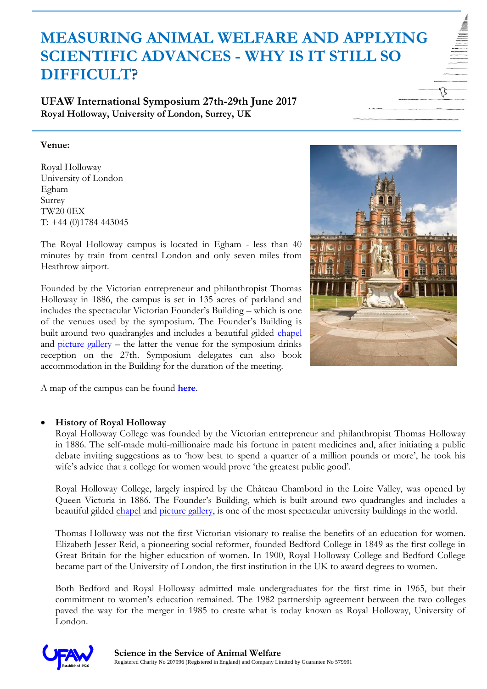# **MEASURING ANIMAL WELFARE AND APPLYING SCIENTIFIC ADVANCES - WHY IS IT STILL SO DIFFICULT?**

**UFAW International Symposium 27th-29th June 2017 Royal Holloway, University of London, Surrey, UK**

# **Venue:**

Royal Holloway University of London Egham Surrey TW20 0EX T: +44 (0)1784 443045

The Royal Holloway campus is located in Egham - less than 40 minutes by train from central London and only seven miles from Heathrow airport.

Founded by the Victorian entrepreneur and philanthropist Thomas Holloway in 1886, the campus is set in 135 acres of parkland and includes the spectacular Victorian Founder's Building – which is one of the venues used by the symposium. The Founder's Building is built around two quadrangles and includes a beautiful gilded [chapel](https://www.royalholloway.ac.uk/aboutus/chapel/home.aspx) and  $\frac{1}{\text{picture}}$  gallery – the latter the venue for the symposium drinks reception on the 27th. Symposium delegates can also book accommodation in the Building for the duration of the meeting.



A map of the campus can be found **[here](https://www.royalholloway.ac.uk/iquad/documents/pdf/campuslife/7131campusmapcarparksv2.pdf)**.

# **History of Royal Holloway**

Royal Holloway College was founded by the Victorian entrepreneur and philanthropist Thomas Holloway in 1886. The self-made multi-millionaire made his fortune in patent medicines and, after initiating a public debate inviting suggestions as to 'how best to spend a quarter of a million pounds or more', he took his wife's advice that a college for women would prove 'the greatest public good'.

Royal Holloway College, largely inspired by the Château Chambord in the Loire Valley, was opened by Queen Victoria in 1886. The Founder's Building, which is built around two quadrangles and includes a beautiful gilded [chapel](https://www.royalholloway.ac.uk/aboutus/chapel/home.aspx) and [picture gallery,](https://www.royalholloway.ac.uk/aboutus/artcollectionandpicturegallery/home.aspx) is one of the most spectacular university buildings in the world.

Thomas Holloway was not the first Victorian visionary to realise the benefits of an education for women. Elizabeth Jesser Reid, a pioneering social reformer, founded Bedford College in 1849 as the first college in Great Britain for the higher education of women. In 1900, Royal Holloway College and Bedford College became part of the University of London, the first institution in the UK to award degrees to women.

Both Bedford and Royal Holloway admitted male undergraduates for the first time in 1965, but their commitment to women's education remained. The 1982 partnership agreement between the two colleges paved the way for the merger in 1985 to create what is today known as Royal Holloway, University of London.

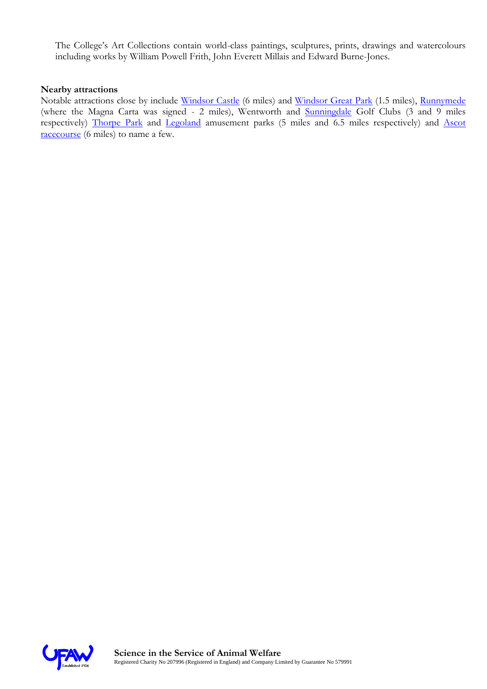The College's Art Collections contain world-class paintings, sculptures, prints, drawings and watercolours including works by William Powell Frith, John Everett Millais and Edward Burne-Jones.

#### **Nearby attractions**

Notable attractions close by include [Windsor Castle](http://www.royalcollection.org.uk/visit/windsorcastle) (6 miles) and [Windsor Great Park](http://www.windsorgreatpark.co.uk/en) (1.5 miles), [Runnymede](http://www.nationaltrust.org.uk/runnymede) (where the Magna Carta was signed - 2 miles), Wentworth and [Sunningdale](http://www.sunningdale-golfclub.co.uk/) Golf Clubs (3 and 9 miles respectively) [Thorpe Park](https://www.thorpepark.com/) and [Legoland](http://www.legoland.co.uk/) amusement parks (5 miles and 6.5 miles respectively) and [Ascot](http://www.ascot.co.uk/)  [racecourse](http://www.ascot.co.uk/) (6 miles) to name a few.

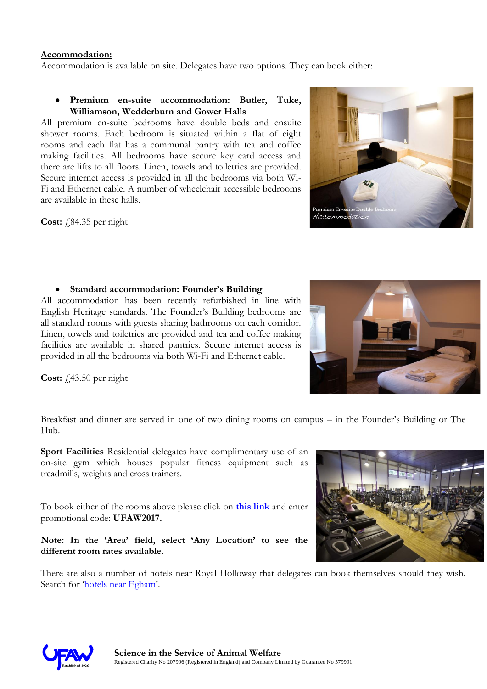### **Accommodation:**

Accommodation is available on site. Delegates have two options. They can book either:

### **Premium en-suite accommodation: Butler, Tuke, Williamson, Wedderburn and Gower Halls**

All premium en-suite bedrooms have double beds and ensuite shower rooms. Each bedroom is situated within a flat of eight rooms and each flat has a communal pantry with tea and coffee making facilities. All bedrooms have secure key card access and there are lifts to all floors. Linen, towels and toiletries are provided. Secure internet access is provided in all the bedrooms via both Wi-Fi and Ethernet cable. A number of wheelchair accessible bedrooms are available in these halls.

**Cost:** £84.35 per night

# **Standard accommodation: Founder's Building**

All accommodation has been recently refurbished in line with English Heritage standards. The Founder's Building bedrooms are all standard rooms with guests sharing bathrooms on each corridor. Linen, towels and toiletries are provided and tea and coffee making facilities are available in shared pantries. Secure internet access is provided in all the bedrooms via both Wi-Fi and Ethernet cable.

**Cost:**  $f(43.50)$  per night

Breakfast and dinner are served in one of two dining rooms on campus – in the Founder's Building or The Hub.

**Sport Facilities** Residential delegates have complimentary use of an on-site gym which houses popular fitness equipment such as treadmills, weights and cross trainers.

To book either of the rooms above please click on **[this link](https://venue-booking.royalholloway.ac.uk/BnB)** and enter promotional code: **UFAW2017.**

# **Note: In the 'Area' field, select 'Any Location' to see the different room rates available.**

There are also a number of hotels near Royal Holloway that delegates can book themselves should they wish. Search for '[hotels near Egham](http://www.google.co.uk/maps/search/hotels+near+Egham/@51.4273203,-0.5967438,13z/data=!3m1!4b1?hl=en)'.